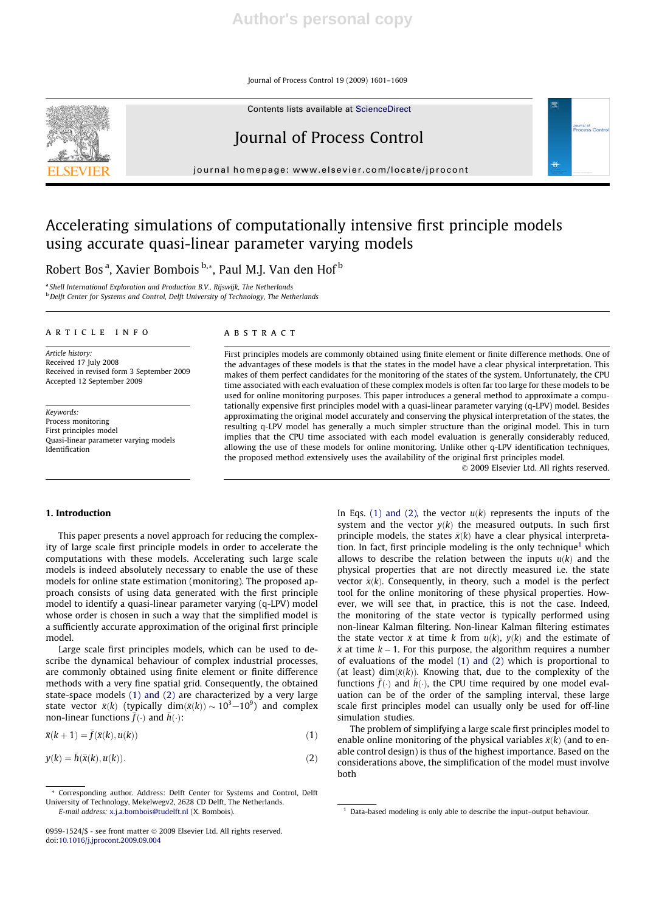Journal of Process Control 19 (2009) 1601–1609

Contents lists available at ScienceDirect





journal homepage: www.elsevier.com/locate/jprocont



# Accelerating simulations of computationally intensive first principle models using accurate quasi-linear parameter varying models

Robert Bos <sup>a</sup>, Xavier Bombois <sup>b,</sup>\*, Paul M.J. Van den Hof <sup>b</sup>

<sup>a</sup> Shell International Exploration and Production B.V., Rijswijk, The Netherlands b Delft Center for Systems and Control, Delft University of Technology, The Netherlands

#### article info

Article history: Received 17 July 2008 Received in revised form 3 September 2009 Accepted 12 September 2009

Keywords: Process monitoring First principles model Quasi-linear parameter varying models Identification

#### **ABSTRACT**

First principles models are commonly obtained using finite element or finite difference methods. One of the advantages of these models is that the states in the model have a clear physical interpretation. This makes of them perfect candidates for the monitoring of the states of the system. Unfortunately, the CPU time associated with each evaluation of these complex models is often far too large for these models to be used for online monitoring purposes. This paper introduces a general method to approximate a computationally expensive first principles model with a quasi-linear parameter varying (q-LPV) model. Besides approximating the original model accurately and conserving the physical interpretation of the states, the resulting q-LPV model has generally a much simpler structure than the original model. This in turn implies that the CPU time associated with each model evaluation is generally considerably reduced, allowing the use of these models for online monitoring. Unlike other q-LPV identification techniques, the proposed method extensively uses the availability of the original first principles model.

- 2009 Elsevier Ltd. All rights reserved.

# 1. Introduction

This paper presents a novel approach for reducing the complexity of large scale first principle models in order to accelerate the computations with these models. Accelerating such large scale models is indeed absolutely necessary to enable the use of these models for online state estimation (monitoring). The proposed approach consists of using data generated with the first principle model to identify a quasi-linear parameter varying (q-LPV) model whose order is chosen in such a way that the simplified model is a sufficiently accurate approximation of the original first principle model.

Large scale first principles models, which can be used to describe the dynamical behaviour of complex industrial processes, are commonly obtained using finite element or finite difference methods with a very fine spatial grid. Consequently, the obtained state-space models (1) and (2) are characterized by a very large state vector  $\bar{x}(k)$  (typically  $\dim(\bar{x}(k)) \sim 10^3 - 10^9$ ) and complex non-linear functions  $\bar{f}(\cdot)$  and  $\bar{h}(\cdot)$ :

$$
\bar{x}(k+1) = \bar{f}(\bar{x}(k), u(k))\tag{1}
$$

$$
y(k) = \bar{h}(\bar{x}(k), u(k)).
$$
\n(2)

\* Corresponding author. Address: Delft Center for Systems and Control, Delft University of Technology, Mekelwegv2, 2628 CD Delft, The Netherlands.

In Eqs. (1) and (2), the vector  $u(k)$  represents the inputs of the system and the vector  $y(k)$  the measured outputs. In such first principle models, the states  $\bar{x}(k)$  have a clear physical interpretation. In fact, first principle modeling is the only technique<sup>1</sup> which allows to describe the relation between the inputs  $u(k)$  and the physical properties that are not directly measured i.e. the state vector  $\bar{x}(k)$ . Consequently, in theory, such a model is the perfect tool for the online monitoring of these physical properties. However, we will see that, in practice, this is not the case. Indeed, the monitoring of the state vector is typically performed using non-linear Kalman filtering. Non-linear Kalman filtering estimates the state vector  $\bar{x}$  at time k from  $u(k)$ ,  $y(k)$  and the estimate of  $\bar{x}$  at time  $k - 1$ . For this purpose, the algorithm requires a number of evaluations of the model (1) and (2) which is proportional to (at least) dim $(\bar{x}(k))$ . Knowing that, due to the complexity of the functions  $\bar{f}(\cdot)$  and  $\bar{h}(\cdot)$ , the CPU time required by one model evaluation can be of the order of the sampling interval, these large scale first principles model can usually only be used for off-line simulation studies.

The problem of simplifying a large scale first principles model to enable online monitoring of the physical variables  $\bar{x}(k)$  (and to enable control design) is thus of the highest importance. Based on the considerations above, the simplification of the model must involve both

<sup>0959-1524/\$ -</sup> see front matter © 2009 Elsevier Ltd. All rights reserved. doi:10.1016/j.jprocont.2009.09.004

E-mail address: x.j.a.bombois@tudelft.nl (X. Bombois). 1 Data-based modeling is only able to describe the input–output behaviour.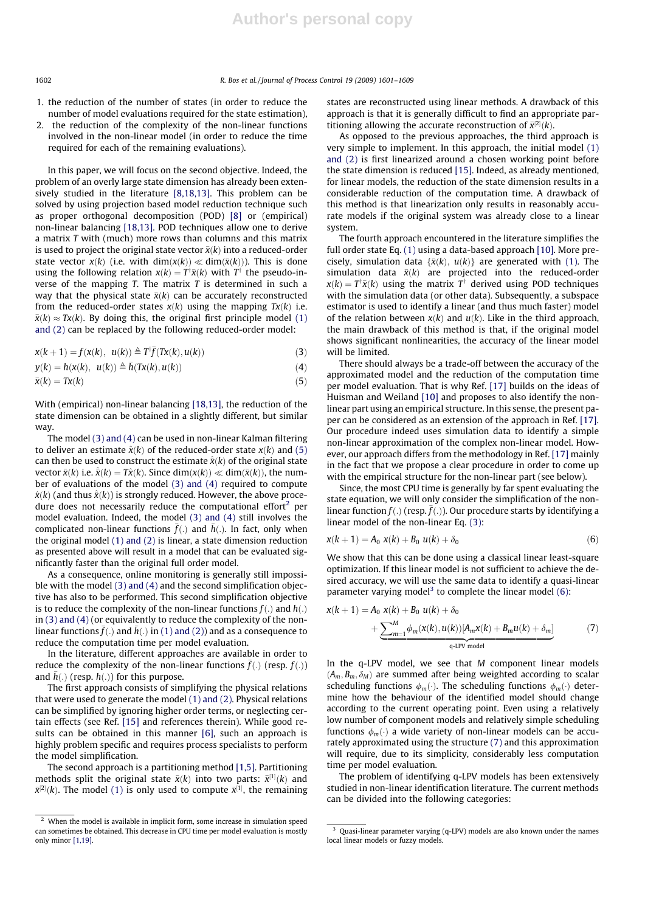- 1. the reduction of the number of states (in order to reduce the number of model evaluations required for the state estimation),
- 2. the reduction of the complexity of the non-linear functions involved in the non-linear model (in order to reduce the time required for each of the remaining evaluations).

In this paper, we will focus on the second objective. Indeed, the problem of an overly large state dimension has already been extensively studied in the literature [8,18,13]. This problem can be solved by using projection based model reduction technique such as proper orthogonal decomposition (POD) [8] or (empirical) non-linear balancing [18,13]. POD techniques allow one to derive a matrix T with (much) more rows than columns and this matrix is used to project the original state vector  $\bar{x}(k)$  into a reduced-order state vector  $x(k)$  (i.e. with  $\dim(x(k)) \ll \dim(\bar{x}(k))$ ). This is done using the following relation  $x(k) = T^{\dagger} \bar{x}(k)$  with  $T^{\dagger}$  the pseudo-inverse of the mapping  $T$ . The matrix  $T$  is determined in such a way that the physical state  $\bar{x}(k)$  can be accurately reconstructed from the reduced-order states  $x(k)$  using the mapping  $Tx(k)$  i.e.  $\bar{x}(k) \approx Tx(k)$ . By doing this, the original first principle model (1) and (2) can be replaced by the following reduced-order model:

 $x(k + 1) = f(x(k), u(k)) \triangleq T^{\dagger} \bar{f}(Tx(k), u(k))$  (3)

 $y(k) = h(x(k), u(k)) \triangleq \bar{h}(Tx(k), u(k))$ (4)

 $\bar{x}(k) = Tx(k)$  (5)

With (empirical) non-linear balancing [18,13], the reduction of the state dimension can be obtained in a slightly different, but similar way.

The model (3) and (4) can be used in non-linear Kalman filtering to deliver an estimate  $\hat{x}(k)$  of the reduced-order state  $x(k)$  and (5) can then be used to construct the estimate  $\hat{\bar{{\mathsf x}}}(k)$  of the original state vector  $\bar{x}(k)$  i.e.  $\hat{\bar{x}}(k) = T\hat{x}(k)$ . Since  $\dim(x(k)) \ll \dim(\bar{x}(k))$ , the number of evaluations of the model (3) and (4) required to compute  $\hat{\mathsf{x}}(k)$  (and thus  $\hat{\bar{\mathsf{x}}}(k)$ ) is strongly reduced. However, the above procedure does not necessarily reduce the computational effort<sup>2</sup> per model evaluation. Indeed, the model (3) and (4) still involves the complicated non-linear functions  $\bar{f}(.)$  and  $\bar{h}(.)$ . In fact, only when the original model (1) and (2) is linear, a state dimension reduction as presented above will result in a model that can be evaluated significantly faster than the original full order model.

As a consequence, online monitoring is generally still impossible with the model (3) and (4) and the second simplification objective has also to be performed. This second simplification objective is to reduce the complexity of the non-linear functions  $f(.)$  and  $h(.)$ in (3) and (4) (or equivalently to reduce the complexity of the nonlinear functions  $\bar{f}(.)$  and  $\bar{h}(.)$  in (1) and (2)) and as a consequence to reduce the computation time per model evaluation.

In the literature, different approaches are available in order to reduce the complexity of the non-linear functions  $\bar{f}(\cdot)$  (resp.  $f(\cdot)$ ) and  $\bar{h}$ (.) (resp.  $\bar{h}$ (.)) for this purpose.

The first approach consists of simplifying the physical relations that were used to generate the model (1) and (2). Physical relations can be simplified by ignoring higher order terms, or neglecting certain effects (see Ref. [15] and references therein). While good results can be obtained in this manner [6], such an approach is highly problem specific and requires process specialists to perform the model simplification.

The second approach is a partitioning method [1,5]. Partitioning methods split the original state  $\bar{x}(k)$  into two parts:  $\bar{x}^{[1]}(k)$  and  $\bar{x}^{[2]}(k)$ . The model (1) is only used to compute  $\bar{x}^{[1]}$ , the remaining

states are reconstructed using linear methods. A drawback of this approach is that it is generally difficult to find an appropriate partitioning allowing the accurate reconstruction of  $\bar{x}^{[2]}(k)$ .

As opposed to the previous approaches, the third approach is very simple to implement. In this approach, the initial model (1) and (2) is first linearized around a chosen working point before the state dimension is reduced [15]. Indeed, as already mentioned, for linear models, the reduction of the state dimension results in a considerable reduction of the computation time. A drawback of this method is that linearization only results in reasonably accurate models if the original system was already close to a linear system.

The fourth approach encountered in the literature simplifies the full order state Eq. (1) using a data-based approach [10]. More precisely, simulation data  $\{\bar{x}(k), u(k)\}$  are generated with (1). The simulation data  $\bar{x}(k)$  are projected into the reduced-order  $x(k) = T^{\dagger} \bar{x}(k)$  using the matrix  $T^{\dagger}$  derived using POD techniques with the simulation data (or other data). Subsequently, a subspace estimator is used to identify a linear (and thus much faster) model of the relation between  $x(k)$  and  $u(k)$ . Like in the third approach, the main drawback of this method is that, if the original model shows significant nonlinearities, the accuracy of the linear model will be limited.

There should always be a trade-off between the accuracy of the approximated model and the reduction of the computation time per model evaluation. That is why Ref. [17] builds on the ideas of Huisman and Weiland [10] and proposes to also identify the nonlinear part using an empirical structure. In this sense, the present paper can be considered as an extension of the approach in Ref. [17]. Our procedure indeed uses simulation data to identify a simple non-linear approximation of the complex non-linear model. However, our approach differs from the methodology in Ref. [17] mainly in the fact that we propose a clear procedure in order to come up with the empirical structure for the non-linear part (see below).

Since, the most CPU time is generally by far spent evaluating the state equation, we will only consider the simplification of the nonlinear function  $f(.)$  (resp.  $\bar{f}(.)$ ). Our procedure starts by identifying a linear model of the non-linear Eq. (3):

$$
x(k+1) = A_0 x(k) + B_0 u(k) + \delta_0
$$
\n(6)

We show that this can be done using a classical linear least-square optimization. If this linear model is not sufficient to achieve the desired accuracy, we will use the same data to identify a quasi-linear parameter varying model<sup>3</sup> to complete the linear model  $(6)$ :

$$
x(k+1) = A_0 x(k) + B_0 u(k) + \delta_0
$$
  
+ 
$$
\underbrace{\sum_{m=1}^{M} \phi_m(x(k), u(k)) [A_m x(k) + B_m u(k) + \delta_m]}_{q \text{-LPV model}}
$$
(7)

In the q-LPV model, we see that M component linear models  $(A_m, B_m, \delta_M)$  are summed after being weighted according to scalar scheduling functions  $\phi_m(\cdot)$ . The scheduling functions  $\phi_m(\cdot)$  determine how the behaviour of the identified model should change according to the current operating point. Even using a relatively low number of component models and relatively simple scheduling functions  $\phi_m(\cdot)$  a wide variety of non-linear models can be accurately approximated using the structure (7) and this approximation will require, due to its simplicity, considerably less computation time per model evaluation.

The problem of identifying q-LPV models has been extensively studied in non-linear identification literature. The current methods can be divided into the following categories:

 $2$  When the model is available in implicit form, some increase in simulation speed can sometimes be obtained. This decrease in CPU time per model evaluation is mostly only minor [1,19].

<sup>&</sup>lt;sup>3</sup> Quasi-linear parameter varying (q-LPV) models are also known under the names local linear models or fuzzy models.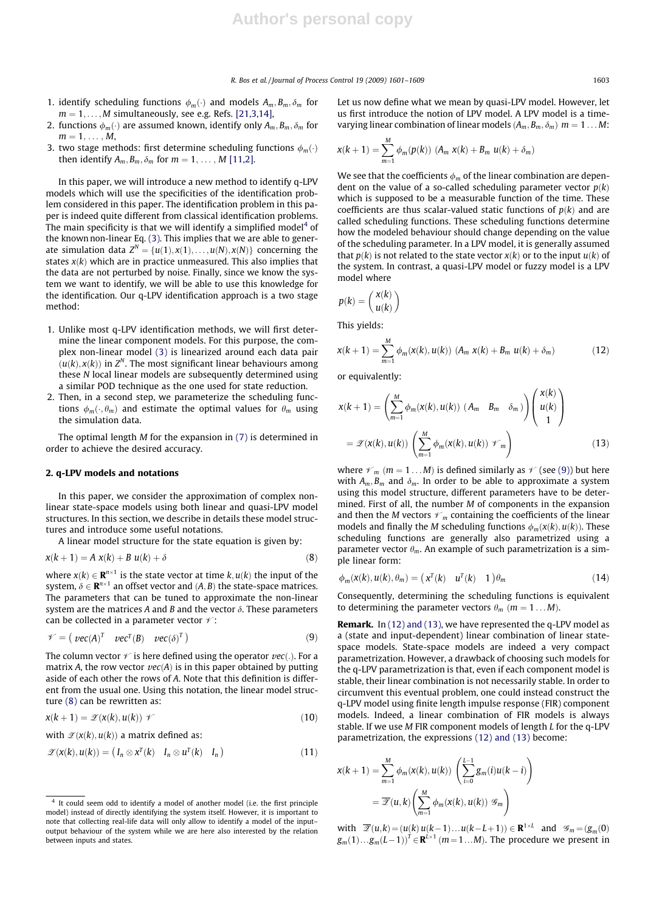- 1. identify scheduling functions  $\phi_m(\cdot)$  and models  $A_m, B_m, \delta_m$  for  $m = 1, \ldots, M$  simultaneously, see e.g. Refs. [21,3,14],
- 2. functions  $\phi_m(\cdot)$  are assumed known, identify only  $A_m, B_m, \delta_m$  for  $m = 1, \ldots, M$ ,
- 3. two stage methods: first determine scheduling functions  $\phi_m(\cdot)$ then identify  $A_m$ ,  $B_m$ ,  $\delta_m$  for  $m = 1, \ldots, M$  [11,2].

In this paper, we will introduce a new method to identify q-LPV models which will use the specificities of the identification problem considered in this paper. The identification problem in this paper is indeed quite different from classical identification problems. The main specificity is that we will identify a simplified model $4$  of the known non-linear Eq. (3). This implies that we are able to generate simulation data  $Z^N = \{u(1), x(1), \ldots, u(N), x(N)\}$  concerning the states  $x(k)$  which are in practice unmeasured. This also implies that the data are not perturbed by noise. Finally, since we know the system we want to identify, we will be able to use this knowledge for the identification. Our q-LPV identification approach is a two stage method:

- 1. Unlike most q-LPV identification methods, we will first determine the linear component models. For this purpose, the complex non-linear model (3) is linearized around each data pair  $(u(k), x(k))$  in  $Z<sup>N</sup>$ . The most significant linear behaviours among these N local linear models are subsequently determined using a similar POD technique as the one used for state reduction.
- 2. Then, in a second step, we parameterize the scheduling functions  $\phi_m(\cdot, \theta_m)$  and estimate the optimal values for  $\theta_m$  using the simulation data.

The optimal length M for the expansion in (7) is determined in order to achieve the desired accuracy.

## 2. q-LPV models and notations

In this paper, we consider the approximation of complex nonlinear state-space models using both linear and quasi-LPV model structures. In this section, we describe in details these model structures and introduce some useful notations.

A linear model structure for the state equation is given by:

$$
x(k+1) = A x(k) + B u(k) + \delta
$$
 (8)

where  $x(k) \in \mathbf{R}^{n \times 1}$  is the state vector at time  $k, u(k)$  the input of the system,  $\delta \in \mathbb{R}^{n \times 1}$  an offset vector and  $(A, B)$  the state-space matrices. The parameters that can be tuned to approximate the non-linear system are the matrices A and B and the vector  $\delta$ . These parameters can be collected in a parameter vector  $\mathscr V$ :

$$
\mathscr{V} = \left( \ \textit{vec}(A)^T \quad \textit{vec}^T(B) \quad \textit{vec}(\delta)^T \right) \tag{9}
$$

The column vector  $\mathscr V$  is here defined using the operator  $\mathit{vec}(\cdot)$ . For a matrix A, the row vector  $vec(A)$  is in this paper obtained by putting aside of each other the rows of A. Note that this definition is different from the usual one. Using this notation, the linear model structure (8) can be rewritten as:

$$
x(k+1) = \mathcal{Z}(x(k), u(k)) \mathcal{V} \tag{10}
$$

with  $\mathscr{Z}(x(k), u(k))$  a matrix defined as:

$$
\mathscr{Z}(\mathsf{x}(k),\mathsf{u}(k)) = \left(\,I_n \otimes \mathsf{x}^{\mathsf{T}}(k) \quad I_n \otimes \mathsf{u}^{\mathsf{T}}(k) \quad I_n\,\right) \tag{11}
$$

Let us now define what we mean by quasi-LPV model. However, let us first introduce the notion of LPV model. A LPV model is a timevarying linear combination of linear models  $(A_m, B_m, \delta_m)$   $m = 1 ... M$ :

$$
x(k+1) = \sum_{m=1}^{M} \phi_m(p(k)) \ (A_m \ x(k) + B_m \ u(k) + \delta_m)
$$

We see that the coefficients  $\phi_m$  of the linear combination are dependent on the value of a so-called scheduling parameter vector  $p(k)$ which is supposed to be a measurable function of the time. These coefficients are thus scalar-valued static functions of  $p(k)$  and are called scheduling functions. These scheduling functions determine how the modeled behaviour should change depending on the value of the scheduling parameter. In a LPV model, it is generally assumed that  $p(k)$  is not related to the state vector  $x(k)$  or to the input  $u(k)$  of the system. In contrast, a quasi-LPV model or fuzzy model is a LPV model where

$$
p(k) = \binom{x(k)}{u(k)}
$$

This yields:

$$
x(k+1) = \sum_{m=1}^{M} \phi_m(x(k), u(k)) \ (A_m \ x(k) + B_m \ u(k) + \delta_m)
$$
 (12)

or equivalently:

$$
x(k+1) = \left(\sum_{m=1}^{M} \phi_m(x(k), u(k)) (A_m - B_m - \delta_m)\right) \begin{pmatrix} x(k) \\ u(k) \\ 1 \end{pmatrix}
$$
  
=  $\mathcal{Z}(x(k), u(k)) \left(\sum_{m=1}^{M} \phi_m(x(k), u(k)) \mathcal{V}_m\right)$  (13)

where  $\mathcal{V}_m$  ( $m = 1...M$ ) is defined similarly as  $\mathcal{V}$  (see (9)) but here with  $A_m$ ,  $B_m$  and  $\delta_m$ . In order to be able to approximate a system using this model structure, different parameters have to be determined. First of all, the number M of components in the expansion and then the M vectors  $\mathcal{V}_m$  containing the coefficients of the linear models and finally the M scheduling functions  $\phi_m(x(k), u(k))$ . These scheduling functions are generally also parametrized using a parameter vector  $\theta_m$ . An example of such parametrization is a simple linear form:

$$
\phi_m(x(k), u(k), \theta_m) = \left(x^T(k) \quad u^T(k) \quad 1\right) \theta_m \tag{14}
$$

Consequently, determining the scheduling functions is equivalent to determining the parameter vectors  $\theta_m$  ( $m = 1 ... M$ ).

Remark. In (12) and (13), we have represented the q-LPV model as a (state and input-dependent) linear combination of linear statespace models. State-space models are indeed a very compact parametrization. However, a drawback of choosing such models for the q-LPV parametrization is that, even if each component model is stable, their linear combination is not necessarily stable. In order to circumvent this eventual problem, one could instead construct the q-LPV model using finite length impulse response (FIR) component models. Indeed, a linear combination of FIR models is always stable. If we use M FIR component models of length L for the q-LPV parametrization, the expressions (12) and (13) become:

$$
x(k+1) = \sum_{m=1}^{M} \phi_m(x(k), u(k)) \left( \sum_{i=0}^{L-1} g_m(i)u(k-i) \right)
$$
  
=  $\overline{\mathscr{L}}(u,k) \left( \sum_{m=1}^{M} \phi_m(x(k), u(k)) \mathscr{G}_m \right)$ 

with  $\overline{\mathscr{L}}(u,k)=(u(k)u(k-1)...u(k-L+1))\in \mathbf{R}^{1\times L}$  and  $\mathscr{G}_m=(g_m(0))$  $g_m(1) \dots g_m(L-1)$ <sup>T</sup>  $\in \mathbb{R}^{L \times 1}$  (m = 1...M). The procedure we present in

 $4$  It could seem odd to identify a model of another model (i.e. the first principle model) instead of directly identifying the system itself. However, it is important to note that collecting real-life data will only allow to identify a model of the input– output behaviour of the system while we are here also interested by the relation between inputs and states.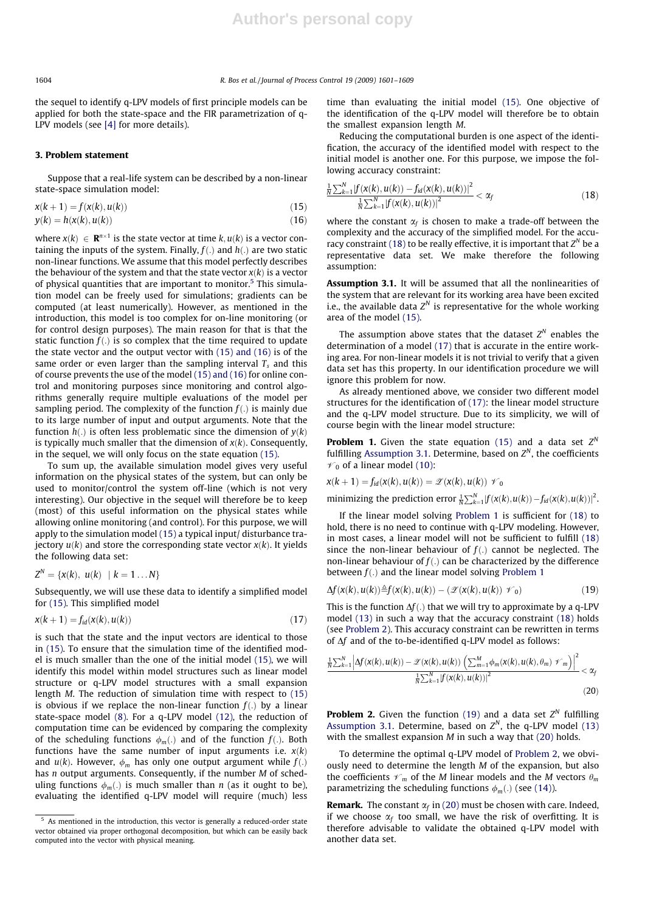the sequel to identify q-LPV models of first principle models can be applied for both the state-space and the FIR parametrization of q-LPV models (see [4] for more details).

## 3. Problem statement

Suppose that a real-life system can be described by a non-linear state-space simulation model:

$$
x(k + 1) = f(x(k), u(k))
$$
  
\n
$$
y(k) = h(x(k), u(k))
$$
\n(15)

where  $x(k) \in \mathbf{R}^{n \times 1}$  is the state vector at time  $k, u(k)$  is a vector containing the inputs of the system. Finally,  $f(.)$  and  $h(.)$  are two static non-linear functions. We assume that this model perfectly describes the behaviour of the system and that the state vector  $x(k)$  is a vector of physical quantities that are important to monitor.<sup>5</sup> This simulation model can be freely used for simulations; gradients can be computed (at least numerically). However, as mentioned in the introduction, this model is too complex for on-line monitoring (or for control design purposes). The main reason for that is that the static function  $f(.)$  is so complex that the time required to update the state vector and the output vector with (15) and (16) is of the same order or even larger than the sampling interval  $T_s$  and this of course prevents the use of the model (15) and (16) for online control and monitoring purposes since monitoring and control algorithms generally require multiple evaluations of the model per sampling period. The complexity of the function  $f(.)$  is mainly due to its large number of input and output arguments. Note that the function  $h(.)$  is often less problematic since the dimension of  $y(k)$ is typically much smaller that the dimension of  $x(k)$ . Consequently, in the sequel, we will only focus on the state equation (15).

To sum up, the available simulation model gives very useful information on the physical states of the system, but can only be used to monitor/control the system off-line (which is not very interesting). Our objective in the sequel will therefore be to keep (most) of this useful information on the physical states while allowing online monitoring (and control). For this purpose, we will apply to the simulation model (15) a typical input/ disturbance trajectory  $u(k)$  and store the corresponding state vector  $x(k)$ . It yields the following data set:

$$
Z^N = \{x(k), u(k) \mid k = 1...N\}
$$

Subsequently, we will use these data to identify a simplified model for (15). This simplified model

$$
x(k+1) = f_{id}(x(k), u(k))
$$
\n<sup>(17)</sup>

is such that the state and the input vectors are identical to those in (15). To ensure that the simulation time of the identified model is much smaller than the one of the initial model (15), we will identify this model within model structures such as linear model structure or q-LPV model structures with a small expansion length M. The reduction of simulation time with respect to (15) is obvious if we replace the non-linear function  $f(.)$  by a linear state-space model (8). For a q-LPV model (12), the reduction of computation time can be evidenced by comparing the complexity of the scheduling functions  $\phi_m(.)$  and of the function  $f(.)$ . Both functions have the same number of input arguments i.e.  $x(k)$ and  $u(k)$ . However,  $\phi_m$  has only one output argument while  $f(.)$ has  $n$  output arguments. Consequently, if the number  $M$  of scheduling functions  $\phi_m(.)$  is much smaller than *n* (as it ought to be), evaluating the identified q-LPV model will require (much) less time than evaluating the initial model (15). One objective of the identification of the q-LPV model will therefore be to obtain the smallest expansion length M.

Reducing the computational burden is one aspect of the identification, the accuracy of the identified model with respect to the initial model is another one. For this purpose, we impose the following accuracy constraint:

$$
\frac{\frac{1}{N}\sum_{k=1}^{N}|f(x(k),u(k))-f_{id}(x(k),u(k))|^{2}}{\frac{1}{N}\sum_{k=1}^{N}|f(x(k),u(k))|^{2}}<\alpha_{f}
$$
\n(18)

where the constant  $\alpha_f$  is chosen to make a trade-off between the complexity and the accuracy of the simplified model. For the accuracy constraint (18) to be really effective, it is important that  $Z^N$  be a representative data set. We make therefore the following assumption:

Assumption 3.1. It will be assumed that all the nonlinearities of the system that are relevant for its working area have been excited i.e., the available data  $Z^N$  is representative for the whole working area of the model (15).

The assumption above states that the dataset  $Z<sup>N</sup>$  enables the determination of a model (17) that is accurate in the entire working area. For non-linear models it is not trivial to verify that a given data set has this property. In our identification procedure we will ignore this problem for now.

As already mentioned above, we consider two different model structures for the identification of (17): the linear model structure and the q-LPV model structure. Due to its simplicity, we will of course begin with the linear model structure:

**Problem 1.** Given the state equation (15) and a data set  $Z^N$ fulfilling Assumption 3.1. Determine, based on  $Z<sup>N</sup>$ , the coefficients  $\mathcal{V}_0$  of a linear model (10):

$$
x(k + 1) = f_{id}(x(k), u(k)) = \mathscr{Z}(x(k), u(k)) \mathscr{V}_0
$$

minimizing the prediction error  $\frac{1}{N} \sum_{k=1}^{N} |f(x(k), u(k)) - f_{id}(x(k), u(k))|^2$ .

If the linear model solving Problem 1 is sufficient for (18) to hold, there is no need to continue with q-LPV modeling. However, in most cases, a linear model will not be sufficient to fulfill (18) since the non-linear behaviour of  $f(.)$  cannot be neglected. The non-linear behaviour of  $f(.)$  can be characterized by the difference between  $f(.)$  and the linear model solving Problem 1

$$
\Delta f(x(k), u(k)) \triangleq f(x(k), u(k)) - (\mathcal{Z}(x(k), u(k)) \mathcal{V}_0)
$$
\n(19)

This is the function  $\Delta f(.)$  that we will try to approximate by a q-LPV model (13) in such a way that the accuracy constraint (18) holds (see Problem 2). This accuracy constraint can be rewritten in terms of  $\Delta f$  and of the to-be-identified q-LPV model as follows:

$$
\frac{\frac{1}{N}\sum_{k=1}^{N}\left|\Delta f(x(k),u(k))-\mathscr{L}(x(k),u(k))\left(\sum_{m=1}^{M}\phi_m(x(k),u(k),\theta_m)\mathscr{V}_m\right)\right|^2}{\frac{1}{N}\sum_{k=1}^{N}|f(x(k),u(k))|^2}<\alpha_f
$$
\n(20)

**Problem 2.** Given the function (19) and a data set  $Z^N$  fulfilling Assumption 3.1. Determine, based on  $Z<sup>N</sup>$ , the q-LPV model (13) with the smallest expansion  $M$  in such a way that  $(20)$  holds.

To determine the optimal q-LPV model of Problem 2, we obviously need to determine the length M of the expansion, but also the coefficients  $\mathscr{V}_m$  of the M linear models and the M vectors  $\theta_m$ parametrizing the scheduling functions  $\phi_m(.)$  (see (14)).

**Remark.** The constant  $\alpha_f$  in (20) must be chosen with care. Indeed, if we choose  $\alpha_f$  too small, we have the risk of overfitting. It is therefore advisable to validate the obtained q-LPV model with another data set.

 $5$  As mentioned in the introduction, this vector is generally a reduced-order state vector obtained via proper orthogonal decomposition, but which can be easily back computed into the vector with physical meaning.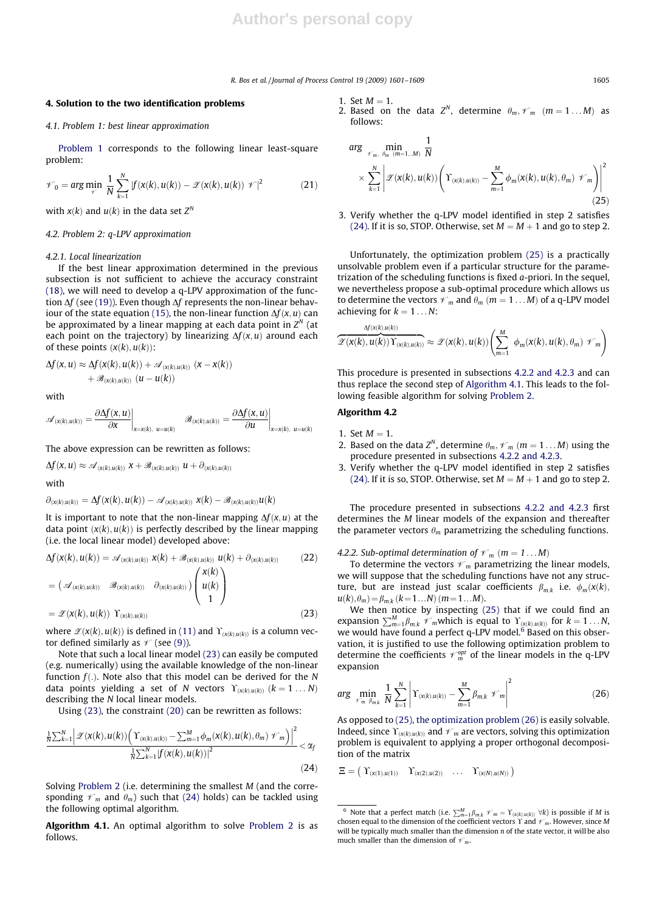# 4. Solution to the two identification problems

## 4.1. Problem 1: best linear approximation

Problem 1 corresponds to the following linear least-square problem:

$$
\mathcal{V}_0 = \arg\min_{\mathcal{V}} \frac{1}{N} \sum_{k=1}^N |f(x(k), u(k)) - \mathcal{Z}(x(k), u(k)) \mathcal{V}|^2 \tag{21}
$$

with  $x(k)$  and  $u(k)$  in the data set  $Z^N$ 

## 4.2. Problem 2: q-LPV approximation

### 4.2.1. Local linearization

If the best linear approximation determined in the previous subsection is not sufficient to achieve the accuracy constraint (18), we will need to develop a q-LPV approximation of the function  $\Delta f$  (see (19)). Even though  $\Delta f$  represents the non-linear behaviour of the state equation (15), the non-linear function  $\Delta f(x, u)$  can be approximated by a linear mapping at each data point in  $Z<sup>N</sup>$  (at each point on the trajectory) by linearizing  $\Delta f(x, u)$  around each of these points  $(x(k), u(k))$ :

$$
\Delta f(x, u) \approx \Delta f(x(k), u(k)) + \mathscr{A}_{(x(k), u(k))} (x - x(k)) + \mathscr{B}_{(x(k), u(k))} (u - u(k))
$$

with

$$
\mathscr{A}_{(x(k),u(k))}=\frac{\partial\Delta f(x,u)}{\partial x}\bigg|_{x=x(k),\ u=u(k)}\quad \mathscr{B}_{(x(k),u(k))}=\frac{\partial\Delta f(x,u)}{\partial u}\bigg|_{x=x(k),\ u=u(k)}
$$

The above expression can be rewritten as follows:

$$
\Delta f(x, u) \approx \mathscr{A}_{(x(k), u(k))} x + \mathscr{B}_{(x(k), u(k))} u + \partial_{(x(k), u(k))}
$$
  
with

$$
\partial_{(x(k),u(k))} = \Delta f(x(k),u(k)) - \mathscr{A}_{(x(k),u(k))} x(k) - \mathscr{B}_{(x(k),u(k))} u(k)
$$

It is important to note that the non-linear mapping  $\Delta f(x, u)$  at the data point  $(x(k), u(k))$  is perfectly described by the linear mapping (i.e. the local linear model) developed above:

$$
\Delta f(\mathbf{x}(k), u(k)) = \mathcal{A}_{(\mathbf{x}(k), u(k))} \mathbf{x}(k) + \mathcal{B}_{(\mathbf{x}(k), u(k))} u(k) + \partial_{(\mathbf{x}(k), u(k))}
$$
(22)  

$$
= (\mathcal{A}_{(\mathbf{x}(k), u(k))} \mathcal{B}_{(\mathbf{x}(k), u(k))} \partial_{(\mathbf{x}(k), u(k))}) \begin{pmatrix} \mathbf{x}(k) \\ u(k) \\ 1 \end{pmatrix}
$$
  

$$
= \mathcal{L}(\mathbf{x}(k), u(k)) \Upsilon_{(\mathbf{x}(k), u(k))}
$$
(23)

where  $\mathscr{L}(x(k), u(k))$  is defined in (11) and  $\Upsilon_{(x(k), u(k))}$  is a column vector defined similarly as  $\mathscr V$  (see (9)).

Note that such a local linear model (23) can easily be computed (e.g. numerically) using the available knowledge of the non-linear function  $f(.)$ . Note also that this model can be derived for the N data points yielding a set of N vectors  $\Upsilon_{(x(k),u(k))}$   $(k = 1 ... N)$ describing the N local linear models.

Using (23), the constraint (20) can be rewritten as follows:

$$
\frac{\frac{1}{N}\sum_{k=1}^{N}\left|\mathscr{Z}(x(k),u(k))\left(\Upsilon_{(x(k),u(k))}-\sum_{m=1}^{M}\phi_{m}(x(k),u(k),\theta_{m})\mathscr{V}_{m}\right)\right|^{2}}{\frac{1}{N}\sum_{k=1}^{N}|f(x(k),u(k))|^{2}}<\alpha_{f}
$$
\n(24)

Solving Problem 2 (i.e. determining the smallest M (and the corresponding  $\mathcal{V}_m$  and  $\theta_m$ ) such that (24) holds) can be tackled using the following optimal algorithm.

Algorithm 4.1. An optimal algorithm to solve Problem 2 is as follows.

1. Set  $M = 1$ . 2. Based on the data  $Z^N$ , determine  $\theta_m$ ,  $\mathcal{V}_m$   $(m = 1 ... M)$  as follows:

$$
\arg \min_{\varphi_m, \theta_m \text{ (m=1...M)}} \frac{1}{N}
$$
\n
$$
\times \sum_{k=1}^N \left| \mathcal{L}(x(k), u(k)) \left( Y_{(x(k), u(k))} - \sum_{m=1}^M \phi_m(x(k), u(k), \theta_m) \ \mathcal{V}_m \right) \right|^2
$$
\n(25)

3. Verify whether the q-LPV model identified in step 2 satisfies (24). If it is so, STOP. Otherwise, set  $M = M + 1$  and go to step 2.

Unfortunately, the optimization problem (25) is a practically unsolvable problem even if a particular structure for the parametrization of the scheduling functions is fixed a-priori. In the sequel, we nevertheless propose a sub-optimal procedure which allows us to determine the vectors  $\mathcal{V}_m$  and  $\theta_m$  ( $m = 1 ... M$ ) of a q-LPV model achieving for  $k = 1 ... N$ :

$$
\frac{\Delta f(x(k), u(k))}{\mathscr{L}(x(k), u(k)) \Upsilon_{(x(k), u(k))}} \approx \mathscr{L}(x(k), u(k)) \left( \sum_{m=1}^{M} \phi_m(x(k), u(k), \theta_m) \mathscr{V}_m \right)
$$

This procedure is presented in subsections 4.2.2 and 4.2.3 and can thus replace the second step of Algorithm 4.1. This leads to the following feasible algorithm for solving Problem 2.

#### Algorithm 4.2

1. Set  $M = 1$ .

- 2. Based on the data  $Z^N$ , determine  $\theta_m$ ,  $\mathcal{V}_m$   $(m = 1 ... M)$  using the procedure presented in subsections 4.2.2 and 4.2.3.
- 3. Verify whether the q-LPV model identified in step 2 satisfies (24). If it is so, STOP. Otherwise, set  $M = M + 1$  and go to step 2.

The procedure presented in subsections 4.2.2 and 4.2.3 first determines the M linear models of the expansion and thereafter the parameter vectors  $\theta_m$  parametrizing the scheduling functions.

#### 4.2.2. Sub-optimal determination of  $\mathcal{V}_m$  (m = 1...M)

To determine the vectors  $\mathcal{V}_m$  parametrizing the linear models, we will suppose that the scheduling functions have not any structure, but are instead just scalar coefficients  $\beta_{m,k}$  i.e.  $\phi_m(x(k))$  $u(k),\theta_m) = \beta_{m,k} (k=1...N)$   $(m=1...M)$ .

We then notice by inspecting (25) that if we could find an expansion  $\sum_{m=1}^{M} \beta_{m,k} \mathcal{V}_{m}$  which is equal to  $\Upsilon_{(x(k),u(k))}$  for  $k = 1...N$ , we would have found a perfect q-LPV model.<sup>6</sup> Based on this observation, it is justified to use the following optimization problem to determine the coefficients  $\mathcal{V}_m^{opt}$  of the linear models in the q-LPV expansion

$$
\arg \min_{\mathcal{F}_m} \lim_{\beta_{m,k}} \frac{1}{N} \sum_{k=1}^N \left| Y_{(x(k),u(k))} - \sum_{m=1}^M \beta_{m,k} \mathcal{V}_m \right|^2 \tag{26}
$$

As opposed to (25), the optimization problem (26) is easily solvable. Indeed, since  $\Upsilon_{(x(k),u(k))}$  and  $\mathcal{V}_m$  are vectors, solving this optimization problem is equivalent to applying a proper orthogonal decomposition of the matrix

 $\Xi = (\Upsilon_{(x(1),u(1))} \Upsilon_{(x(2),u(2))} \dots \Upsilon_{(x(N),u(N))})$ 

<sup>&</sup>lt;sup>6</sup> Note that a perfect match (i.e.  $\sum_{m=1}^{M} \beta_{m,k}$   $\mathcal{V}_m = \Upsilon_{(x(k),u(k))}$   $\forall k$ ) is possible if M is chosen equal to the dimension of the coefficient vectors  $\Upsilon$  and  $\mathcal{V}_m$ . However, since M will be typically much smaller than the dimension  $n$  of the state vector, it will be also much smaller than the dimension of  $\mathcal{V}_m$ .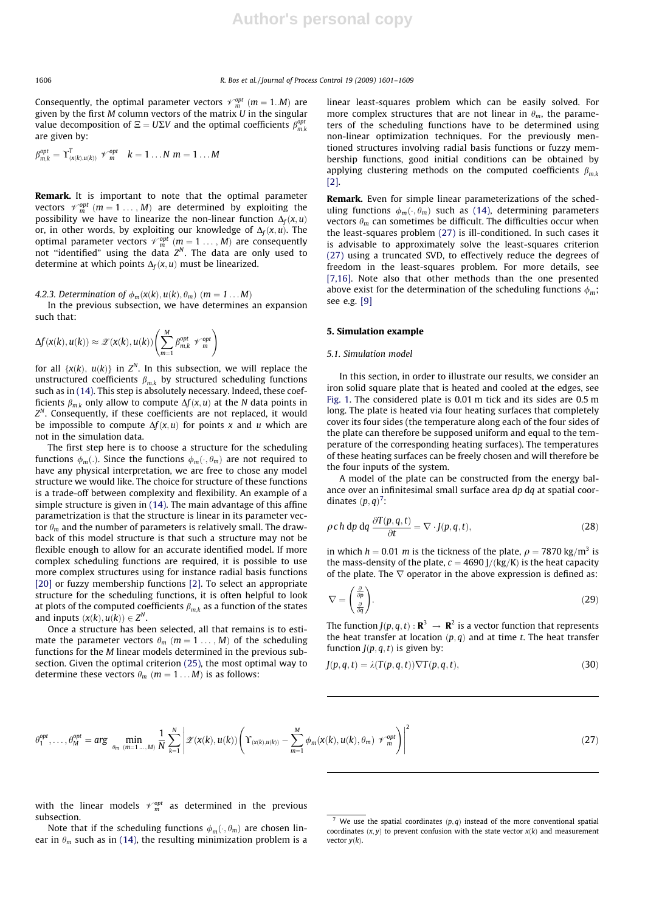Consequently, the optimal parameter vectors  $\mathcal{V}_m^{opt}$  ( $m = 1..M$ ) are given by the first  $M$  column vectors of the matrix  $U$  in the singular value decomposition of  $\Xi = U \Sigma V$  and the optimal coefficients  $\beta_{m,k}^{opt}$ are given by:

$$
\beta_{m,k}^{opt} = \Upsilon_{(x(k),u(k))}^T \mathscr{V}_{m}^{opt} \quad k = 1 \dots N \ m = 1 \dots M
$$

Remark. It is important to note that the optimal parameter vectors  $\mathcal{V}_m^{opt}$  ( $m = 1 \ldots, M$ ) are determined by exploiting the possibility we have to linearize the non-linear function  $\Delta_f(x, u)$ or, in other words, by exploiting our knowledge of  $\Delta_f(x, u)$ . The optimal parameter vectors  $\mathcal{V}_m^{opt}(m = 1 \ldots, M)$  are consequently not "identified" using the data  $Z<sup>N</sup>$ . The data are only used to determine at which points  $\Delta_f(x, u)$  must be linearized.

4.2.3. Determination of  $\phi_m(x(k), u(k), \theta_m)$   $(m = 1 ... M)$ 

In the previous subsection, we have determines an expansion such that:

$$
\Delta f(\mathbf{x}(k), u(k)) \approx \mathscr{Z}(\mathbf{x}(k), u(k)) \left( \sum_{m=1}^{M} \beta_{m,k}^{opt} \gamma_{m}^{opt} \right)
$$

for all  $\{x(k), u(k)\}$  in  $Z<sup>N</sup>$ . In this subsection, we will replace the unstructured coefficients  $\beta_{mk}$  by structured scheduling functions such as in (14). This step is absolutely necessary. Indeed, these coefficients  $\beta_{m,k}$  only allow to compute  $\Delta f(x, u)$  at the N data points in  $Z<sup>N</sup>$ . Consequently, if these coefficients are not replaced, it would be impossible to compute  $\Delta f(x, u)$  for points x and u which are not in the simulation data.

The first step here is to choose a structure for the scheduling functions  $\phi_m(.)$ . Since the functions  $\phi_m(\cdot,\theta_m)$  are not required to have any physical interpretation, we are free to chose any model structure we would like. The choice for structure of these functions is a trade-off between complexity and flexibility. An example of a simple structure is given in (14). The main advantage of this affine parametrization is that the structure is linear in its parameter vector  $\theta_m$  and the number of parameters is relatively small. The drawback of this model structure is that such a structure may not be flexible enough to allow for an accurate identified model. If more complex scheduling functions are required, it is possible to use more complex structures using for instance radial basis functions [20] or fuzzy membership functions [2]. To select an appropriate structure for the scheduling functions, it is often helpful to look at plots of the computed coefficients  $\beta_{m,k}$  as a function of the states and inputs  $(x(k), u(k)) \in Z^N$ .

Once a structure has been selected, all that remains is to estimate the parameter vectors  $\theta_m$  ( $m = 1 \ldots, M$ ) of the scheduling functions for the M linear models determined in the previous subsection. Given the optimal criterion (25), the most optimal way to determine these vectors  $\theta_m$  ( $m = 1 ... M$ ) is as follows:

linear least-squares problem which can be easily solved. For more complex structures that are not linear in  $\theta_m$ , the parameters of the scheduling functions have to be determined using non-linear optimization techniques. For the previously mentioned structures involving radial basis functions or fuzzy membership functions, good initial conditions can be obtained by applying clustering methods on the computed coefficients  $\beta_{m,k}$ [2].

Remark. Even for simple linear parameterizations of the scheduling functions  $\phi_m(\cdot, \theta_m)$  such as (14), determining parameters vectors  $\theta_m$  can sometimes be difficult. The difficulties occur when the least-squares problem (27) is ill-conditioned. In such cases it is advisable to approximately solve the least-squares criterion (27) using a truncated SVD, to effectively reduce the degrees of freedom in the least-squares problem. For more details, see [7,16]. Note also that other methods than the one presented above exist for the determination of the scheduling functions  $\phi_m$ ; see e.g. [9]

## 5. Simulation example

#### 5.1. Simulation model

In this section, in order to illustrate our results, we consider an iron solid square plate that is heated and cooled at the edges, see Fig. 1. The considered plate is 0.01 m tick and its sides are 0.5 m long. The plate is heated via four heating surfaces that completely cover its four sides (the temperature along each of the four sides of the plate can therefore be supposed uniform and equal to the temperature of the corresponding heating surfaces). The temperatures of these heating surfaces can be freely chosen and will therefore be the four inputs of the system.

A model of the plate can be constructed from the energy balance over an infinitesimal small surface area dp dq at spatial coordinates  $(p, q)^7$ :

$$
\rho c h \, dp \, dq \, \frac{\partial T(p, q, t)}{\partial t} = \nabla \cdot J(p, q, t), \tag{28}
$$

in which  $h = 0.01$  m is the tickness of the plate,  $\rho = 7870 \text{ kg/m}^3$  is the mass-density of the plate,  $c = 4690 \text{ J/(kg/K)}$  is the heat capacity of the plate. The  $\nabla$  operator in the above expression is defined as:

$$
\nabla = \begin{pmatrix} \frac{\partial}{\partial p} \\ \frac{\partial}{\partial q} \end{pmatrix} . \tag{29}
$$

The function  $J(p,q,t): \mathbf{R}^3 \to \mathbf{R}^2$  is a vector function that represents the heat transfer at location  $(p, q)$  and at time t. The heat transfer function  $J(p, q, t)$  is given by:

$$
J(p,q,t) = \lambda(T(p,q,t))\nabla T(p,q,t),\tag{30}
$$

$$
\theta_1^{opt}, \dots, \theta_M^{opt} = \arg \min_{\theta_m \ (m=1\dots,M)} \frac{1}{N} \sum_{k=1}^N \left| \mathcal{Z}(x(k), u(k)) \left( Y_{(x(k), u(k))} - \sum_{m=1}^M \phi_m(x(k), u(k), \theta_m) \right) \varphi_m^{opt} \right) \right|^2 \tag{27}
$$

with the linear models  $\mathscr{V}_m^{opt}$  as determined in the previous subsection.

Note that if the scheduling functions  $\phi_m(\cdot, \theta_m)$  are chosen linear in  $\theta_m$  such as in (14), the resulting minimization problem is a

<sup>&</sup>lt;sup>7</sup> We use the spatial coordinates  $(p,q)$  instead of the more conventional spatial coordinates  $(x, y)$  to prevent confusion with the state vector  $x(k)$  and measurement vector  $y(k)$ .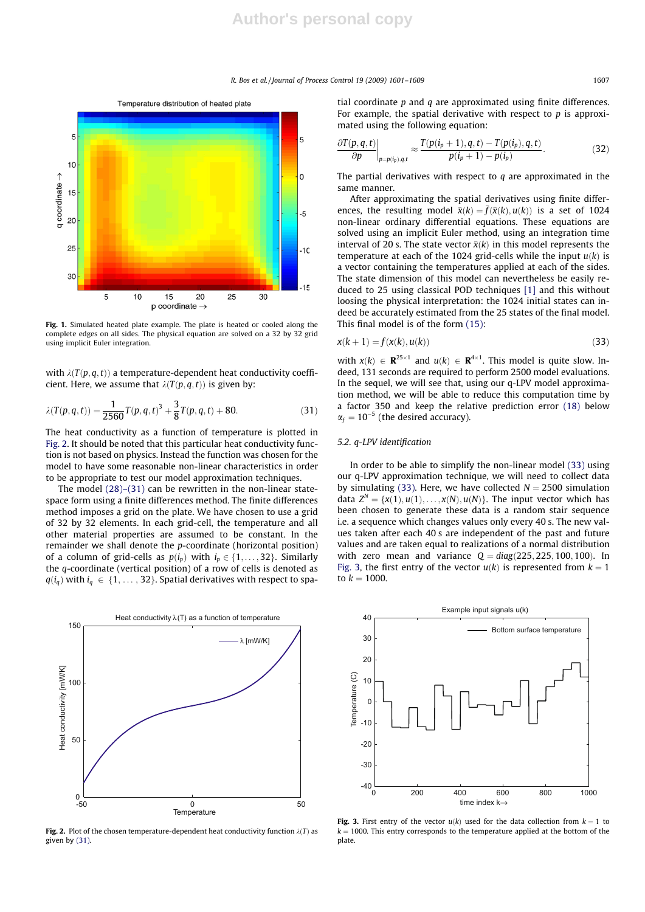R. Bos et al. / Journal of Process Control 19 (2009) 1601–1609 1607



Fig. 1. Simulated heated plate example. The plate is heated or cooled along the complete edges on all sides. The physical equation are solved on a 32 by 32 grid using implicit Euler integration.

with  $\lambda(T(p, q, t))$  a temperature-dependent heat conductivity coefficient. Here, we assume that  $\lambda(T(p, q, t))$  is given by:

$$
\lambda(T(p,q,t)) = \frac{1}{2560}T(p,q,t)^3 + \frac{3}{8}T(p,q,t) + 80.
$$
 (31)

The heat conductivity as a function of temperature is plotted in Fig. 2. It should be noted that this particular heat conductivity function is not based on physics. Instead the function was chosen for the model to have some reasonable non-linear characteristics in order to be appropriate to test our model approximation techniques.

The model (28)–(31) can be rewritten in the non-linear statespace form using a finite differences method. The finite differences method imposes a grid on the plate. We have chosen to use a grid of 32 by 32 elements. In each grid-cell, the temperature and all other material properties are assumed to be constant. In the remainder we shall denote the p-coordinate (horizontal position) of a column of grid-cells as  $p(i_p)$  with  $i_p \in \{1, \ldots, 32\}$ . Similarly the q-coordinate (vertical position) of a row of cells is denoted as  $q(i_q)$  with  $i_q \in \{1, \ldots, 32\}$ . Spatial derivatives with respect to spa-



Fig. 2. Plot of the chosen temperature-dependent heat conductivity function  $\lambda(T)$  as given by (31)

tial coordinate  $p$  and  $q$  are approximated using finite differences. For example, the spatial derivative with respect to  $p$  is approximated using the following equation:

$$
\frac{\partial T(p,q,t)}{\partial p}\bigg|_{p=p(i_p),q,t} \approx \frac{T(p(i_p+1),q,t) - T(p(i_p),q,t)}{p(i_p+1) - p(i_p)}.
$$
\n(32)

The partial derivatives with respect to  $q$  are approximated in the same manner.

After approximating the spatial derivatives using finite differences, the resulting model  $\bar{x}(k) = \bar{f}(\bar{x}(k), u(k))$  is a set of 1024 non-linear ordinary differential equations. These equations are solved using an implicit Euler method, using an integration time interval of 20 s. The state vector  $\bar{x}(k)$  in this model represents the temperature at each of the 1024 grid-cells while the input  $u(k)$  is a vector containing the temperatures applied at each of the sides. The state dimension of this model can nevertheless be easily reduced to 25 using classical POD techniques [1] and this without loosing the physical interpretation: the 1024 initial states can indeed be accurately estimated from the 25 states of the final model. This final model is of the form (15):

$$
x(k+1) = f(x(k), u(k))
$$
\n(33)

with  $x(k) \in \mathbb{R}^{25\times1}$  and  $u(k) \in \mathbb{R}^{4\times1}$ . This model is quite slow. Indeed, 131 seconds are required to perform 2500 model evaluations. In the sequel, we will see that, using our q-LPV model approximation method, we will be able to reduce this computation time by a factor 350 and keep the relative prediction error (18) below  $\alpha_f = 10^{-5}$  (the desired accuracy).

## 5.2. q-LPV identification

In order to be able to simplify the non-linear model (33) using our q-LPV approximation technique, we will need to collect data by simulating (33). Here, we have collected  $N = 2500$  simulation data  $Z^N = \{x(1), u(1), \ldots, x(N), u(N)\}\)$ . The input vector which has been chosen to generate these data is a random stair sequence i.e. a sequence which changes values only every 40 s. The new values taken after each 40 s are independent of the past and future values and are taken equal to realizations of a normal distribution with zero mean and variance  $Q = diag(225, 225, 100, 100)$ . In Fig. 3, the first entry of the vector  $u(k)$  is represented from  $k = 1$ to  $k = 1000$ .



Fig. 3. First entry of the vector  $u(k)$  used for the data collection from  $k = 1$  to  $k = 1000$ . This entry corresponds to the temperature applied at the bottom of the plate.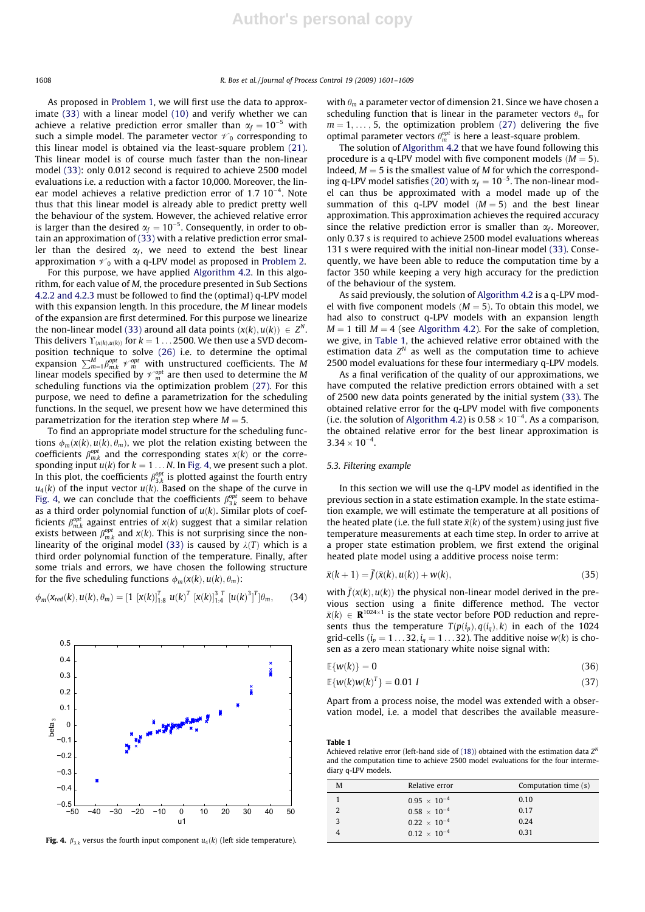As proposed in Problem 1, we will first use the data to approximate (33) with a linear model (10) and verify whether we can achieve a relative prediction error smaller than  $\alpha_f = 10^{-5}$  with such a simple model. The parameter vector  $\mathcal{V}_0$  corresponding to this linear model is obtained via the least-square problem (21). This linear model is of course much faster than the non-linear model (33): only 0.012 second is required to achieve 2500 model evaluations i.e. a reduction with a factor 10,000. Moreover, the linear model achieves a relative prediction error of 1.7  $10^{-4}$ . Note thus that this linear model is already able to predict pretty well the behaviour of the system. However, the achieved relative error is larger than the desired  $\alpha_{\!f} = 10^{-5}$ . Consequently, in order to obtain an approximation of (33) with a relative prediction error smaller than the desired  $\alpha_f$ , we need to extend the best linear approximation  $\mathcal{V}_0$  with a q-LPV model as proposed in Problem 2.

For this purpose, we have applied Algorithm 4.2. In this algorithm, for each value of M, the procedure presented in Sub Sections 4.2.2 and 4.2.3 must be followed to find the (optimal) q-LPV model with this expansion length. In this procedure, the M linear models of the expansion are first determined. For this purpose we linearize the non-linear model (33) around all data points  $(x(k), u(k)) \in \mathbb{Z}^N$ . This delivers  $\Upsilon_{(x(k),u(k))}$  for  $k = 1 \dots 2500$ . We then use a SVD decomposition technique to solve (26) i.e. to determine the optimal expansion  $\sum_{m=1}^{M} \beta_{m,k}^{opt} \gamma_{m}^{opt}$  with unstructured coefficients. The M linear models specified by  $\mathscr{V}_m^{opt}$  are then used to determine the M scheduling functions via the optimization problem (27). For this purpose, we need to define a parametrization for the scheduling functions. In the sequel, we present how we have determined this parametrization for the iteration step where  $M = 5$ .

To find an appropriate model structure for the scheduling functions  $\phi_m(x(k), u(k), \theta_m)$ , we plot the relation existing between the coefficients  $\beta_{m,k}^{opt}$  and the corresponding states  $x(k)$  or the corresponding input  $u(k)$  for  $k = 1 ... N$ . In Fig. 4, we present such a plot. In this plot, the coefficients  $\beta_{3,k}^{opt}$  is plotted against the fourth entry  $u_4(k)$  of the input vector  $u(k)$ . Based on the shape of the curve in Fig. 4, we can conclude that the coefficients  $\beta_{3,k}^{opt}$  seem to behave as a third order polynomial function of  $u(k)$ . Similar plots of coefficients  $\beta_{m,k}^{opt}$  against entries of  $x(k)$  suggest that a similar relation exists between  $\beta_{m,k}^{opt}$  and  $x(k)$ . This is not surprising since the nonlinearity of the original model (33) is caused by  $\lambda(T)$  which is a third order polynomial function of the temperature. Finally, after some trials and errors, we have chosen the following structure for the five scheduling functions  $\phi_m(x(k),u(k),\theta_m)$ :

$$
\phi_m(x_{red}(k), u(k), \theta_m) = \left[1 \left[x(k)\right]_{1:8}^T u(k)^T \left[x(k)\right]_{1:4}^{3 \ T} \left[u(k)^3\right]_{1:9}^T \right] \theta_m, \tag{34}
$$



**Fig. 4.**  $\beta_{3k}$  versus the fourth input component  $u_4(k)$  (left side temperature).

with  $\theta_m$  a parameter vector of dimension 21. Since we have chosen a scheduling function that is linear in the parameter vectors  $\theta_m$  for  $m = 1, \ldots, 5$ , the optimization problem (27) delivering the five optimal parameter vectors  $\theta_m^{opt}$  is here a least-square problem.

The solution of Algorithm 4.2 that we have found following this procedure is a q-LPV model with five component models  $(M = 5)$ . Indeed,  $M = 5$  is the smallest value of M for which the corresponding q-LPV model satisfies (20) with  $\alpha_f = 10^{-5}$ . The non-linear model can thus be approximated with a model made up of the summation of this q-LPV model  $(M = 5)$  and the best linear approximation. This approximation achieves the required accuracy since the relative prediction error is smaller than  $\alpha_f$ . Moreover, only 0.37 s is required to achieve 2500 model evaluations whereas 131 s were required with the initial non-linear model (33). Consequently, we have been able to reduce the computation time by a factor 350 while keeping a very high accuracy for the prediction of the behaviour of the system.

As said previously, the solution of Algorithm 4.2 is a q-LPV model with five component models  $(M = 5)$ . To obtain this model, we had also to construct q-LPV models with an expansion length  $M = 1$  till  $M = 4$  (see Algorithm 4.2). For the sake of completion, we give, in Table 1, the achieved relative error obtained with the estimation data  $Z^N$  as well as the computation time to achieve 2500 model evaluations for these four intermediary q-LPV models.

As a final verification of the quality of our approximations, we have computed the relative prediction errors obtained with a set of 2500 new data points generated by the initial system (33). The obtained relative error for the q-LPV model with five components (i.e. the solution of Algorithm 4.2) is  $0.58 \times 10^{-4}$ . As a comparison, the obtained relative error for the best linear approximation is  $3.34 \times 10^{-4}$ .

## 5.3. Filtering example

In this section we will use the q-LPV model as identified in the previous section in a state estimation example. In the state estimation example, we will estimate the temperature at all positions of the heated plate (i.e. the full state  $\bar{x}(k)$  of the system) using just five temperature measurements at each time step. In order to arrive at a proper state estimation problem, we first extend the original heated plate model using a additive process noise term:

$$
\bar{x}(k+1) = \bar{f}(\bar{x}(k), u(k)) + w(k),\tag{35}
$$

with  $\bar{f}(x(k), u(k))$  the physical non-linear model derived in the previous section using a finite difference method. The vector  $\bar{x}(k) \in \mathbb{R}^{1024 \times 1}$  is the state vector before POD reduction and represents thus the temperature  $T(p(i_p), q(i_q), k)$  in each of the 1024 grid-cells ( $i_p = 1 \ldots 32$ ,  $i_q = 1 \ldots 32$ ). The additive noise  $w(k)$  is chosen as a zero mean stationary white noise signal with:

$$
\mathbb{E}\{w(k)\} = 0\tag{36}
$$

$$
\mathbb{E}\{w(k)w(k)^{T}\} = 0.01 I \tag{37}
$$

Apart from a process noise, the model was extended with a observation model, i.e. a model that describes the available measure-

#### Table 1

Achieved relative error (left-hand side of (18)) obtained with the estimation data  $Z<sup>h</sup>$ and the computation time to achieve 2500 model evaluations for the four intermediary q-LPV models.

| M | Relative error        | Computation time (s) |
|---|-----------------------|----------------------|
|   | $0.95 \times 10^{-4}$ | 0.10                 |
|   | $0.58 \times 10^{-4}$ | 0.17                 |
| 3 | $0.22 \times 10^{-4}$ | 0.24                 |
|   | $0.12 \times 10^{-4}$ | 0.31                 |
|   |                       |                      |